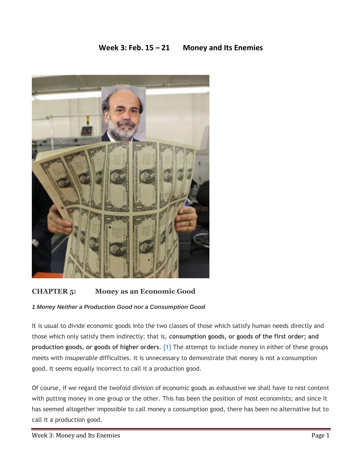## **Week 3: Feb. 15 – 21 Money and Its Enemies**



## **CHAPTER 5: Money as an Economic Good**

#### *1 Money Neither a Production Good nor a Consumption Good*

It is usual to divide economic goods into the two classes of those which satisfy human needs directly and those which only satisfy them indirectly: that is, **consumption goods, or goods of the first order; and production goods, or goods of higher orders**. [\[1\]](http://mises.org/books/Theory_Money_Credit/Part1_Ch5.aspx#_edn1) The attempt to include money in either of these groups meets with *insuperable* difficulties. It is unnecessary to demonstrate that money is not a consumption good. It seems equally incorrect to call it a production good.

Of course, if we regard the twofold division of economic goods as exhaustive we shall have to rest content with putting money in one group or the other. This has been the position of most economists; and since it has seemed altogether impossible to call money a consumption good, there has been no alternative but to call it a production good.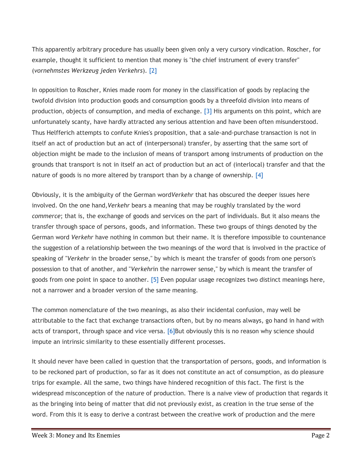This apparently arbitrary procedure has usually been given only a very cursory vindication. Roscher, for example, thought it sufficient to mention that money is "the chief instrument of every transfer" (*vornehmstes Werkzeug jeden Verkehrs*). [\[2\]](http://mises.org/books/Theory_Money_Credit/Part1_Ch5.aspx#_edn2)

In opposition to Roscher, Knies made room for money in the classification of goods by replacing the twofold division into production goods and consumption goods by a threefold division into means of production, objects of consumption, and media of exchange. [\[3\]](http://mises.org/books/Theory_Money_Credit/Part1_Ch5.aspx#_edn3) His arguments on this point, which are unfortunately scanty, have hardly attracted any serious attention and have been often misunderstood. Thus Helfferich attempts to confute Knies's proposition, that a sale-and-purchase transaction is not in itself an act of production but an act of (interpersonal) transfer, by asserting that the same sort of objection might be made to the inclusion of means of transport among instruments of production on the grounds that transport is not in itself an act of production but an act of (interlocal) transfer and that the nature of goods is no more altered by transport than by a change of ownership. [\[4\]](http://mises.org/books/Theory_Money_Credit/Part1_Ch5.aspx#_edn4)

Obviously, it is the ambiguity of the German word*Verkehr* that has obscured the deeper issues here involved. On the one hand,*Verkehr* bears a meaning that may be roughly translated by the word *commerce*; that is, the exchange of goods and services on the part of individuals. But it also means the transfer through space of persons, goods, and information. These two groups of things denoted by the German word *Verkehr* have nothing in common but their name. It is therefore impossible to countenance the suggestion of a relationship between the two meanings of the word that is involved in the practice of speaking of "*Verkehr* in the broader sense," by which is meant the transfer of goods from one person's possession to that of another, and "*Verkehr*in the narrower sense," by which is meant the transfer of goods from one point in space to another. [\[5\]](http://mises.org/books/Theory_Money_Credit/Part1_Ch5.aspx#_edn5) Even popular usage recognizes two distinct meanings here, not a narrower and a broader version of the same meaning.

The common nomenclature of the two meanings, as also their incidental confusion, may well be attributable to the fact that exchange transactions often, but by no means always, go hand in hand with acts of transport, through space and vice versa. [\[6\]B](http://mises.org/books/Theory_Money_Credit/Part1_Ch5.aspx#_edn6)ut obviously this is no reason why science should impute an intrinsic similarity to these essentially different processes.

It should never have been called in question that the transportation of persons, goods, and information is to be reckoned part of production, so far as it does not constitute an act of consumption, as do pleasure trips for example. All the same, two things have hindered recognition of this fact. The first is the widespread misconception of the nature of production. There is a naive view of production that regards it as the bringing into being of matter that did not previously exist, as creation in the true sense of the word. From this it is easy to derive a contrast between the creative work of production and the mere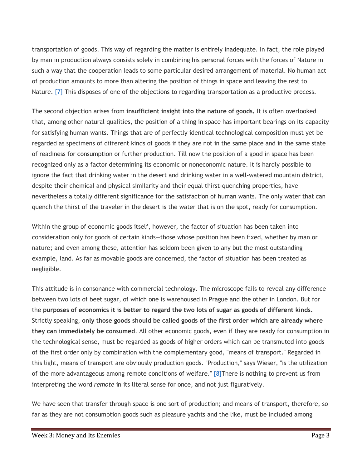transportation of goods. This way of regarding the matter is entirely inadequate. In fact, the role played by man in production always consists solely in combining his personal forces with the forces of Nature in such a way that the cooperation leads to some particular desired arrangement of material. No human act of production amounts to more than altering the position of things in space and leaving the rest to Nature. [\[7\]](http://mises.org/books/Theory_Money_Credit/Part1_Ch5.aspx#_edn7) This disposes of one of the objections to regarding transportation as a productive process.

The second objection arises from **insufficient insight into the nature of goods.** It is often overlooked that, among other natural qualities, the position of a thing in space has important bearings on its capacity for satisfying human wants. Things that are of perfectly identical technological composition must yet be regarded as specimens of different kinds of goods if they are not in the same place and in the same state of readiness for consumption or further production. Till now the position of a good in space has been recognized only as a factor determining its economic or noneconomic nature. It is hardly possible to ignore the fact that drinking water in the desert and drinking water in a well-watered mountain district, despite their chemical and physical similarity and their equal thirst-quenching properties, have nevertheless a totally different significance for the satisfaction of human wants. The only water that can quench the thirst of the traveler in the desert is the water that is on the spot, ready for consumption.

Within the group of economic goods itself, however, the factor of situation has been taken into consideration only for goods of certain kinds—those whose position has been fixed, whether by man or nature; and even among these, attention has seldom been given to any but the most outstanding example, land. As far as movable goods are concerned, the factor of situation has been treated as negligible.

This attitude is in consonance with commercial technology. The microscope fails to reveal any difference between two lots of beet sugar, of which one is warehoused in Prague and the other in London. But for the **purposes of economics it is better to regard the two lots of sugar as goods of different kinds.** Strictly speaking, **only those goods should be called goods of the first order which are already where they can immediately be consumed**. All other economic goods, even if they are ready for consumption in the technological sense, must be regarded as goods of higher orders which can be transmuted into goods of the first order only by combination with the complementary good, "means of transport." Regarded in this light, means of transport are obviously production goods. "Production," says Wieser, "is the utilization of the more advantageous among remote conditions of welfare." [8] There is nothing to prevent us from interpreting the word *remote* in its literal sense for once, and not just figuratively.

We have seen that transfer through space is one sort of production; and means of transport, therefore, so far as they are not consumption goods such as pleasure yachts and the like, must be included among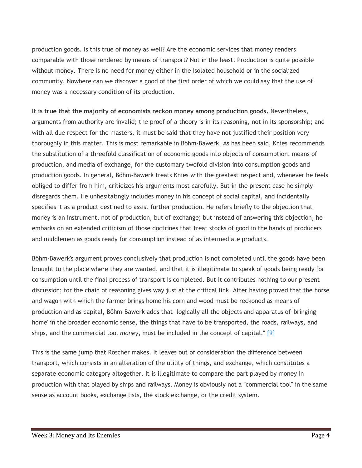production goods. Is this true of money as well? Are the economic services that money renders comparable with those rendered by means of transport? Not in the least. Production is quite possible without money. There is no need for money either in the isolated household or in the socialized community. Nowhere can we discover a good of the first order of which we could say that the use of money was a necessary condition of its production.

**It is true that the majority of economists reckon money among production goods.** Nevertheless, arguments from authority are invalid; the proof of a theory is in its reasoning, not in its sponsorship; and with all due respect for the masters, it must be said that they have not justified their position very thoroughly in this matter. This is most remarkable in Böhm-Bawerk. As has been said, Knies recommends the substitution of a threefold classification of economic goods into objects of consumption, means of production, and media of exchange, for the customary twofold division into consumption goods and production goods. In general, Böhm-Bawerk treats Knies with the greatest respect and, whenever he feels obliged to differ from him, criticizes his arguments most carefully. But in the present case he simply disregards them. He unhesitatingly includes money in his concept of social capital, and incidentally specifies it as a product destined to assist further production. He refers briefly to the objection that money is an instrument, not of production, but of exchange; but instead of answering this objection, he embarks on an extended criticism of those doctrines that treat stocks of good in the hands of producers and middlemen as goods ready for consumption instead of as intermediate products.

Böhm-Bawerk's argument proves conclusively that production is not completed until the goods have been brought to the place where they are wanted, and that it is illegitimate to speak of goods being ready for consumption until the final process of transport is completed. But it contributes nothing to our present discussion; for the chain of reasoning gives way just at the critical link. After having proved that the horse and wagon with which the farmer brings home his corn and wood must be reckoned as means of production and as capital, Böhm-Bawerk adds that "logically all the objects and apparatus of 'bringing home' in the broader economic sense, the things that have to be transported, the roads, railways, and ships, and the commercial tool *money*, must be included in the concept of capital." [\[9\]](http://mises.org/books/Theory_Money_Credit/Part1_Ch5.aspx#_edn9)

This is the same jump that Roscher makes. It leaves out of consideration the difference between transport, which consists in an alteration of the utility of things, and exchange, which constitutes a separate economic category altogether. It is illegitimate to compare the part played by money in production with that played by ships and railways. Money is obviously not a "commercial tool" in the same sense as account books, exchange lists, the stock exchange, or the credit system.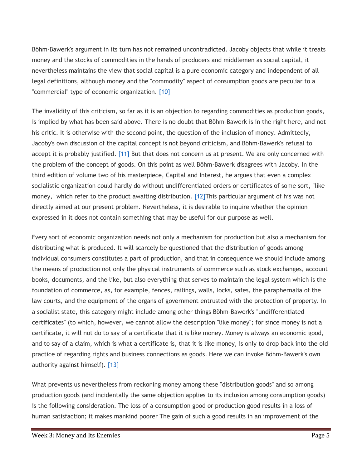Böhm-Bawerk's argument in its turn has not remained uncontradicted. Jacoby objects that while it treats money and the stocks of commodities in the hands of producers and middlemen as social capital, it nevertheless maintains the view that social capital is a pure economic category and independent of all legal definitions, although money and the "commodity" aspect of consumption goods are peculiar to a "commercial" type of economic organization. [\[10\]](http://mises.org/books/Theory_Money_Credit/Part1_Ch5.aspx#_edn10)

The invalidity of this criticism, so far as it is an objection to regarding commodities as production goods, is implied by what has been said above. There is no doubt that Böhm-Bawerk is in the right here, and not his critic. It is otherwise with the second point, the question of the inclusion of money. Admittedly, Jacoby's own discussion of the capital concept is not beyond criticism, and Böhm-Bawerk's refusal to accept it is probably justified. [\[11\]](http://mises.org/books/Theory_Money_Credit/Part1_Ch5.aspx#_edn11) But that does not concern us at present. We are only concerned with the problem of the concept of goods. On this point as well Böhm-Bawerk disagrees with Jacoby. In the third edition of volume two of his masterpiece, Capital and Interest, he argues that even a complex socialistic organization could hardly do without undifferentiated orders or certificates of some sort, "like money," which refer to the product awaiting distribution. [\[12\]T](http://mises.org/books/Theory_Money_Credit/Part1_Ch5.aspx#_edn12)his particular argument of his was not directly aimed at our present problem. Nevertheless, it is desirable to inquire whether the opinion expressed in it does not contain something that may be useful for our purpose as well.

Every sort of economic organization needs not only a mechanism for production but also a mechanism for distributing what is produced. It will scarcely be questioned that the distribution of goods among individual consumers constitutes a part of production, and that in consequence we should include among the means of production not only the physical instruments of commerce such as stock exchanges, account books, documents, and the like, but also everything that serves to maintain the legal system which is the foundation of commerce, as, for example, fences, railings, walls, locks, safes, the paraphernalia of the law courts, and the equipment of the organs of government entrusted with the protection of property. In a socialist state, this category might include among other things Böhm-Bawerk's "undifferentiated certificates" (to which, however, we cannot allow the description "like money"; for since money is not a certificate, it will not do to say of a certificate that it is like money. Money is always an economic good, and to say of a claim, which is what a certificate is, that it is like money, is only to drop back into the old practice of regarding rights and business connections as goods. Here we can invoke Böhm-Bawerk's own authority against himself). [\[13\]](http://mises.org/books/Theory_Money_Credit/Part1_Ch5.aspx#_edn13)

What prevents us nevertheless from reckoning money among these "distribution goods" and so among production goods (and incidentally the same objection applies to its inclusion among consumption goods) is the following consideration. The loss of a consumption good or production good results in a loss of human satisfaction; it makes mankind poorer The gain of such a good results in an improvement of the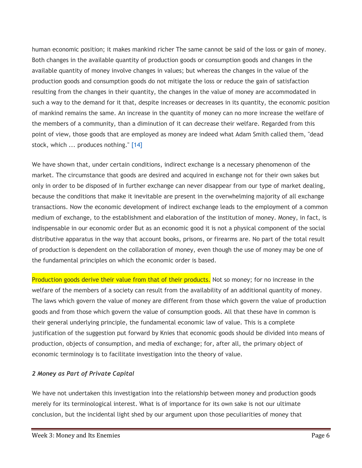human economic position; it makes mankind richer The same cannot be said of the loss or gain of money. Both changes in the available quantity of production goods or consumption goods and changes in the available quantity of money involve changes in values; but whereas the changes in the value of the production goods and consumption goods do not mitigate the loss or reduce the gain of satisfaction resulting from the changes in their quantity, the changes in the value of money are accommodated in such a way to the demand for it that, despite increases or decreases in its quantity, the economic position of mankind remains the same. An increase in the quantity of money can no more increase the welfare of the members of a community, than a diminution of it can decrease their welfare. Regarded from this point of view, those goods that are employed as money are indeed what Adam Smith called them, "dead stock, which ... produces nothing." [\[14\]](http://mises.org/books/Theory_Money_Credit/Part1_Ch5.aspx#_edn14)

We have shown that, under certain conditions, indirect exchange is a necessary phenomenon of the market. The circumstance that goods are desired and acquired in exchange not for their own sakes but only in order to be disposed of in further exchange can never disappear from our type of market dealing, because the conditions that make it inevitable are present in the overwhelming majority of all exchange transactions. Now the economic development of indirect exchange leads to the employment of a common medium of exchange, to the establishment and elaboration of the institution of money. Money, in fact, is indispensable in our economic order But as an economic good it is not a physical component of the social distributive apparatus in the way that account books, prisons, or firearms are. No part of the total result of production is dependent on the collaboration of money, even though the use of money may be one of the fundamental principles on which the economic order is based.

Production goods derive their value from that of their products. Not so money; for no increase in the welfare of the members of a society can result from the availability of an additional quantity of money. The laws which govern the value of money are different from those which govern the value of production goods and from those which govern the value of consumption goods. All that these have in common is their general underlying principle, the fundamental economic law of value. This is a complete justification of the suggestion put forward by Knies that economic goods should be divided into means of production, objects of consumption, and media of exchange; for, after all, the primary object of economic terminology is to facilitate investigation into the theory of value.

## *2 Money as Part of Private Capital*

We have not undertaken this investigation into the relationship between money and production goods merely for its terminological interest. What is of importance for its own sake is not our ultimate conclusion, but the incidental light shed by our argument upon those peculiarities of money that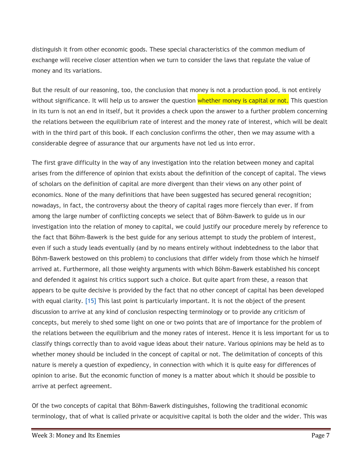distinguish it from other economic goods. These special characteristics of the common medium of exchange will receive closer attention when we turn to consider the laws that regulate the value of money and its variations.

But the result of our reasoning, too, the conclusion that money is not a production good, is not entirely without significance. It will help us to answer the question whether money is capital or not. This question in its turn is not an end in itself, but it provides a check upon the answer to a further problem concerning the relations between the equilibrium rate of interest and the money rate of interest, which will be dealt with in the third part of this book. If each conclusion confirms the other, then we may assume with a considerable degree of assurance that our arguments have not led us into error.

The first grave difficulty in the way of any investigation into the relation between money and capital arises from the difference of opinion that exists about the definition of the concept of capital. The views of scholars on the definition of capital are more divergent than their views on any other point of economics. None of the many definitions that have been suggested has secured general recognition; nowadays, in fact, the controversy about the theory of capital rages more fiercely than ever. If from among the large number of conflicting concepts we select that of Böhm-Bawerk to guide us in our investigation into the relation of money to capital, we could justify our procedure merely by reference to the fact that Böhm-Bawerk is the best guide for any serious attempt to study the problem of interest, even if such a study leads eventually (and by no means entirely without indebtedness to the labor that Böhm-Bawerk bestowed on this problem) to conclusions that differ widely from those which he himself arrived at. Furthermore, all those weighty arguments with which Böhm-Bawerk established his concept and defended it against his critics support such a choice. But quite apart from these, a reason that appears to be quite decisive is provided by the fact that no other concept of capital has been developed with equal clarity. [\[15\]](http://mises.org/books/Theory_Money_Credit/Part1_Ch5.aspx#_edn15) This last point is particularly important. It is not the object of the present discussion to arrive at any kind of conclusion respecting terminology or to provide any criticism of concepts, but merely to shed some light on one or two points that are of importance for the problem of the relations between the equilibrium and the money rates of interest. Hence it is less important for us to classify things correctly than to avoid vague ideas about their nature. Various opinions may be held as to whether money should be included in the concept of capital or not. The delimitation of concepts of this nature is merely a question of expediency, in connection with which it is quite easy for differences of opinion to arise. But the economic function of money is a matter about which it should be possible to arrive at perfect agreement.

Of the two concepts of capital that Böhm-Bawerk distinguishes, following the traditional economic terminology, that of what is called private or acquisitive capital is both the older and the wider. This was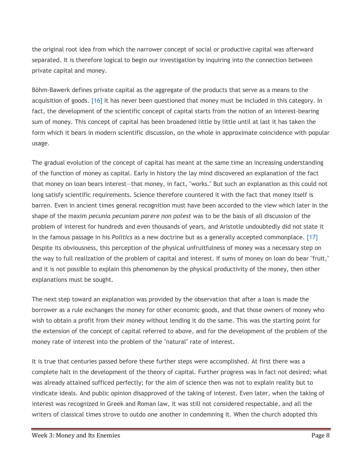the original root idea from which the narrower concept of social or productive capital was afterward separated. It is therefore logical to begin our investigation by inquiring into the connection between private capital and money.

Böhm-Bawerk defines private capital as the aggregate of the products that serve as a means to the acquisition of goods. [\[16\]](http://mises.org/books/Theory_Money_Credit/Part1_Ch5.aspx#_edn16) It has never been questioned that money must be included in this category. In fact, the development of the scientific concept of capital starts from the notion of an interest-bearing sum of money. This concept of capital has been broadened little by little until at last it has taken the form which it bears in modern scientific discussion, on the whole in approximate coincidence with popular usage.

The gradual evolution of the concept of capital has meant at the same time an increasing understanding of the function of money as capital. Early in history the lay mind discovered an explanation of the fact that money on loan bears interest—that money, in fact, "works." But such an explanation as this could not long satisfy scientific requirements. Science therefore countered it with the fact that money itself is barren. Even in ancient times general recognition must have been accorded to the view which later in the shape of the maxim *pecunia pecuniam parere non potest* was to be the basis of all discussion of the problem of interest for hundreds and even thousands of years, and Aristotle undoubtedly did not state it in the famous passage in his *Politics* as a new doctrine but as a generally accepted commonplace. [\[17\]](http://mises.org/books/Theory_Money_Credit/Part1_Ch5.aspx#_edn17) Despite its obviousness, this perception of the physical unfruitfulness of money was a necessary step on the way to full realization of the problem of capital and interest. If sums of money on loan do bear "fruit," and it is not possible to explain this phenomenon by the physical productivity of the money, then other explanations must be sought.

The next step toward an explanation was provided by the observation that after a loan is made the borrower as a rule exchanges the money for other economic goods, and that those owners of money who wish to obtain a profit from their money without lending it do the same. This was the starting point for the extension of the concept of capital referred to above, and for the development of the problem of the money rate of interest into the problem of the "natural" rate of interest.

It is true that centuries passed before these further steps were accomplished. At first there was a complete halt in the development of the theory of capital. Further progress was in fact not desired; what was already attained sufficed perfectly; for the aim of science then was not to explain reality but to vindicate ideals. And public opinion disapproved of the taking of interest. Even later, when the taking of interest was recognized in Greek and Roman law, it was still not considered respectable, and all the writers of classical times strove to outdo one another in condemning it. When the church adopted this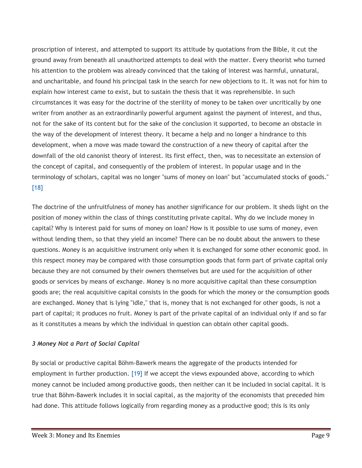proscription of interest, and attempted to support its attitude by quotations from the Bible, it cut the ground away from beneath all unauthorized attempts to deal with the matter. Every theorist who turned his attention to the problem was already convinced that the taking of interest was harmful, unnatural, and uncharitable, and found his principal task in the search for new objections to it. It was not for him to explain how interest came to exist, but to sustain the thesis that it was reprehensible. In such circumstances it was easy for the doctrine of the sterility of money to be taken over uncritically by one writer from another as an extraordinarily powerful argument against the payment of interest, and thus, not for the sake of its content but for the sake of the conclusion it supported, to become an obstacle in the way of the development of interest theory. It became a help and no longer a hindrance to this development, when a move was made toward the construction of a new theory of capital after the downfall of the old canonist theory of interest. Its first effect, then, was to necessitate an extension of the concept of capital, and consequently of the problem of interest. In popular usage and in the terminology of scholars, capital was no longer "sums of money on loan" but "accumulated stocks of goods." [\[18\]](http://mises.org/books/Theory_Money_Credit/Part1_Ch5.aspx#_edn18)

The doctrine of the unfruitfulness of money has another significance for our problem. It sheds light on the position of money within the class of things constituting private capital. Why do we include money in capital? Why is interest paid for sums of money on loan? How is it possible to use sums of money, even without lending them, so that they yield an income? There can be no doubt about the answers to these questions. Money is an acquisitive instrument only when it is exchanged for some other economic good. In this respect money may be compared with those consumption goods that form part of private capital only because they are not consumed by their owners themselves but are used for the acquisition of other goods or services by means of exchange. Money is no more acquisitive capital than these consumption goods are; the real acquisitive capital consists in the goods for which the money or the consumption goods are exchanged. Money that is lying "idle," that is, money that is not exchanged for other goods, is not a part of capital; it produces no fruit. Money is part of the private capital of an individual only if and so far as it constitutes a means by which the individual in question can obtain other capital goods.

## *3 Money Not a Part of Social Capital*

By social or productive capital Böhm-Bawerk means the aggregate of the products intended for employment in further production. [\[19\]](http://mises.org/books/Theory_Money_Credit/Part1_Ch5.aspx#_edn19) If we accept the views expounded above, according to which money cannot be included among productive goods, then neither can it be included in social capital. It is true that Böhm-Bawerk includes it in social capital, as the majority of the economists that preceded him had done. This attitude follows logically from regarding money as a productive good; this is its only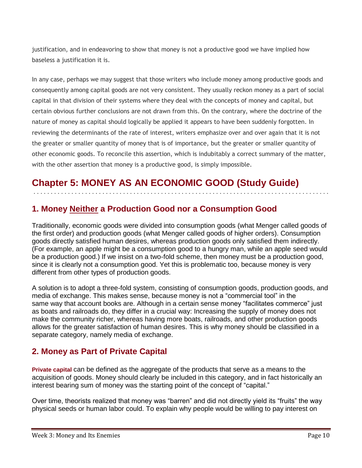justification, and in endeavoring to show that money is not a productive good we have implied how baseless a justification it is.

In any case, perhaps we may suggest that those writers who include money among productive goods and consequently among capital goods are not very consistent. They usually reckon money as a part of social capital in that division of their systems where they deal with the concepts of money and capital, but certain obvious further conclusions are not drawn from this. On the contrary, where the doctrine of the nature of money as capital should logically be applied it appears to have been suddenly forgotten. In reviewing the determinants of the rate of interest, writers emphasize over and over again that it is not the greater or smaller quantity of money that is of importance, but the greater or smaller quantity of other economic goods. To reconcile this assertion, which is indubitably a correct summary of the matter, with the other assertion that money is a productive good, is simply impossible.

## **Chapter 5: MONEY AS AN ECONOMIC GOOD (Study Guide)** . . . . . . . . . . . . . . . . . . . . . . . . . . . . . . . . . . . . . . . . . . . . . . . . . . . . . . . . . . . . . . . . . . . . . . . . . . . . . . . . . . . . . .

# **1. Money Neither a Production Good nor a Consumption Good**

Traditionally, economic goods were divided into consumption goods (what Menger called goods of the first order) and production goods (what Menger called goods of higher orders). Consumption goods directly satisfied human desires, whereas production goods only satisfied them indirectly. (For example, an apple might be a consumption good to a hungry man, while an apple seed would be a production good.) If we insist on a two-fold scheme, then money must be a production good, since it is clearly not a consumption good. Yet this is problematic too, because money is very different from other types of production goods.

A solution is to adopt a three-fold system, consisting of consumption goods, production goods, and media of exchange. This makes sense, because money is not a "commercial tool" in the same way that account books are. Although in a certain sense money "facilitates commerce" just as boats and railroads do, they differ in a crucial way: Increasing the supply of money does not make the community richer, whereas having more boats, railroads, and other production goods allows for the greater satisfaction of human desires. This is why money should be classified in a separate category, namely media of exchange.

## **2. Money as Part of Private Capital**

**Private capital** can be defined as the aggregate of the products that serve as a means to the acquisition of goods. Money should clearly be included in this category, and in fact historically an interest bearing sum of money was the starting point of the concept of "capital."

Over time, theorists realized that money was "barren" and did not directly yield its "fruits" the way physical seeds or human labor could. To explain why people would be willing to pay interest on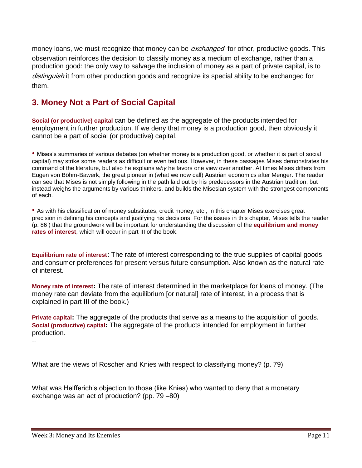money loans, we must recognize that money can be *exchanged* for other, productive goods. This observation reinforces the decision to classify money as a medium of exchange, rather than a production good: the only way to salvage the inclusion of money as a part of private capital, is to distinguish it from other production goods and recognize its special ability to be exchanged for them.

# **3. Money Not a Part of Social Capital**

**Social (or productive) capital** can be defined as the aggregate of the products intended for employment in further production. If we deny that money is a production good, then obviously it cannot be a part of social (or productive) capital.

• Mises's summaries of various debates (on whether money is a production good, or whether it is part of social capital) may strike some readers as difficult or even tedious. However, in these passages Mises demonstrates his command of the literature, but also he explains *why* he favors one view over another. At times Mises differs from Eugen von Böhm-Bawerk, the great pioneer in (what we now call) Austrian economics after Menger. The reader can see that Mises is not simply following in the path laid out by his predecessors in the Austrian tradition, but instead weighs the arguments by various thinkers, and builds the Misesian system with the strongest components of each.

• As with his classification of money substitutes, credit money, etc., in this chapter Mises exercises great precision in defining his concepts and justifying his decisions. For the issues in this chapter, Mises tells the reader (p. 86 ) that the groundwork will be important for understanding the discussion of the **equilibrium and money rates of interest**, which will occur in part III of the book.

**Equilibrium rate of interest:** The rate of interest corresponding to the true supplies of capital goods and consumer preferences for present versus future consumption. Also known as the natural rate of interest.

**Money rate of interest:** The rate of interest determined in the marketplace for loans of money. (The money rate can deviate from the equilibrium [or natural] rate of interest, in a process that is explained in part III of the book.)

**Private capital:** The aggregate of the products that serve as a means to the acquisition of goods. **Social (productive) capital:** The aggregate of the products intended for employment in further production.

--

What are the views of Roscher and Knies with respect to classifying money? (p. 79)

What was Helfferich's objection to those (like Knies) who wanted to deny that a monetary exchange was an act of production? (pp. 79 –80)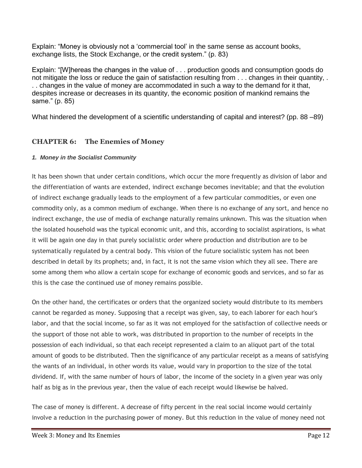Explain: "Money is obviously not a 'commercial tool' in the same sense as account books, exchange lists, the Stock Exchange, or the credit system." (p. 83)

Explain: "[W]hereas the changes in the value of . . . production goods and consumption goods do not mitigate the loss or reduce the gain of satisfaction resulting from . . . changes in their quantity, . . . changes in the value of money are accommodated in such a way to the demand for it that, despites increase or decreases in its quantity, the economic position of mankind remains the same." (p. 85)

What hindered the development of a scientific understanding of capital and interest? (pp. 88 –89)

## **CHAPTER 6: The Enemies of Money**

## *1. Money in the Socialist Community*

It has been shown that under certain conditions, which occur the more frequently as division of labor and the differentiation of wants are extended, indirect exchange becomes inevitable; and that the evolution of indirect exchange gradually leads to the employment of a few particular commodities, or even one commodity only, as a common medium of exchange. When there is no exchange of any sort, and hence no indirect exchange, the use of media of exchange naturally remains unknown. This was the situation when the isolated household was the typical economic unit, and this, according to socialist aspirations, is what it will be again one day in that purely socialistic order where production and distribution are to be systematically regulated by a central body. This vision of the future socialistic system has not been described in detail by its prophets; and, in fact, it is not the same vision which they all see. There are some among them who allow a certain scope for exchange of economic goods and services, and so far as this is the case the continued use of money remains possible.

On the other hand, the certificates or orders that the organized society would distribute to its members cannot be regarded as money. Supposing that a receipt was given, say, to each laborer for each hour's labor, and that the social income, so far as it was not employed for the satisfaction of collective needs or the support of those not able to work, was distributed in proportion to the number of receipts in the possession of each individual, so that each receipt represented a claim to an aliquot part of the total amount of goods to be distributed. Then the significance of any particular receipt as a means of satisfying the wants of an individual, in other words its value, would vary in proportion to the size of the total dividend. If, with the same number of hours of labor, the income of the society in a given year was only half as big as in the previous year, then the value of each receipt would likewise be halved.

The case of money is different. A decrease of fifty percent in the real social income would certainly involve a reduction in the purchasing power of money. But this reduction in the value of money need not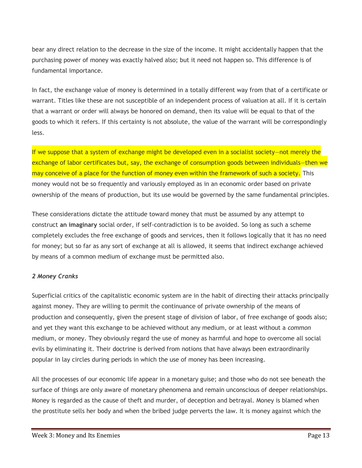bear any direct relation to the decrease in the size of the income. It might accidentally happen that the purchasing power of money was exactly halved also; but it need not happen so. This difference is of fundamental importance.

In fact, the exchange value of money is determined in a totally different way from that of a certificate or warrant. Titles like these are not susceptible of an independent process of valuation at all. If it is certain that a warrant or order will always be honored on demand, then its value will be equal to that of the goods to which it refers. If this certainty is not absolute, the value of the warrant will be correspondingly less.

If we suppose that a system of exchange might be developed even in a socialist society—not merely the exchange of labor certificates but, say, the exchange of consumption goods between individuals—then we may conceive of a place for the function of money even within the framework of such a society. This money would not be so frequently and variously employed as in an economic order based on private ownership of the means of production, but its use would be governed by the same fundamental principles.

These considerations dictate the attitude toward money that must be assumed by any attempt to construct **an imaginary** social order, if self-contradiction is to be avoided. So long as such a scheme completely excludes the free exchange of goods and services, then it follows logically that it has no need for money; but so far as any sort of exchange at all is allowed, it seems that indirect exchange achieved by means of a common medium of exchange must be permitted also.

## *2 Money Cranks*

Superficial critics of the capitalistic economic system are in the habit of directing their attacks principally against money. They are willing to permit the continuance of private ownership of the means of production and consequently, given the present stage of division of labor, of free exchange of goods also; and yet they want this exchange to be achieved without any medium, or at least without a *common* medium, or money. They obviously regard the use of money as harmful and hope to overcome all social evils by eliminating it. Their doctrine is derived from notions that have always been extraordinarily popular in lay circles during periods in which the use of money has been increasing.

All the processes of our economic life appear in a monetary guise; and those who do not see beneath the surface of things are only aware of monetary phenomena and remain unconscious of deeper relationships. Money is regarded as the cause of theft and murder, of deception and betrayal. Money is blamed when the prostitute sells her body and when the bribed judge perverts the law. It is money against which the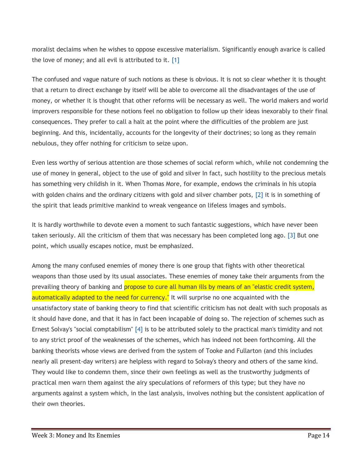moralist declaims when he wishes to oppose excessive materialism. Significantly enough avarice is called the love of money; and all evil is attributed to it. [\[1\]](http://mises.org/books/Theory_Money_Credit/Part1_Ch6.aspx#_edn1)

The confused and vague nature of such notions as these is obvious. It is not so clear whether it is thought that a return to direct exchange by itself will be able to overcome all the disadvantages of the use of money, or whether it is thought that other reforms will be necessary as well. The world makers and world improvers responsible for these notions feel no obligation to follow up their ideas inexorably to their final consequences. They prefer to call a halt at the point where the difficulties of the problem are just beginning. And this, incidentally, accounts for the longevity of their doctrines; so long as they remain nebulous, they offer nothing for criticism to seize upon.

Even less worthy of serious attention are those schemes of social reform which, while not condemning the use of money in general, object to the use of gold and silver In fact, such hostility to the precious metals has something very childish in it. When Thomas More, for example, endows the criminals in his utopia with golden chains and the ordinary citizens with gold and silver chamber pots, [\[2\]](http://mises.org/books/Theory_Money_Credit/Part1_Ch6.aspx#_edn2) it is in something of the spirit that leads primitive mankind to wreak vengeance on lifeless images and symbols.

It is hardly worthwhile to devote even a moment to such fantastic suggestions, which have never been taken seriously. All the criticism of them that was necessary has been completed long ago. [\[3\]](http://mises.org/books/Theory_Money_Credit/Part1_Ch6.aspx#_edn3) But one point, which usually escapes notice, must be emphasized.

Among the many confused enemies of money there is one group that fights with other theoretical weapons than those used by its usual associates. These enemies of money take their arguments from the prevailing theory of banking and **propose to cure all human ills by means of an "elastic credit system,** automatically adapted to the need for currency." It will surprise no one acquainted with the unsatisfactory state of banking theory to find that scientific criticism has not dealt with such proposals as it should have done, and that it has in fact been incapable of doing so. The rejection of schemes such as Ernest Solvay's "social comptabilism" [\[4\]](http://mises.org/books/Theory_Money_Credit/Part1_Ch6.aspx#_edn4) is to be attributed solely to the practical man's timidity and not to any strict proof of the weaknesses of the schemes, which has indeed not been forthcoming. All the banking theorists whose views are derived from the system of Tooke and Fullarton (and this includes nearly all present-day writers) are helpless with regard to Solvay's theory and others of the same kind. They would like to condemn them, since their own feelings as well as the trustworthy judgments of practical men warn them against the airy speculations of reformers of this type; but they have no arguments against a system which, in the last analysis, involves nothing but the consistent application of their own theories.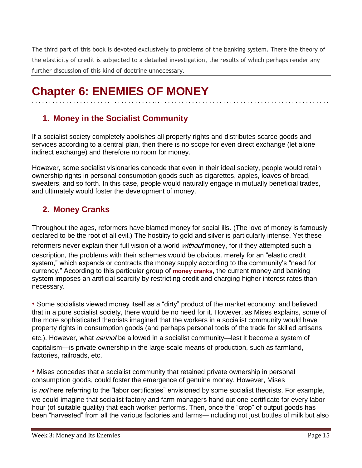The third part of this book is devoted exclusively to problems of the banking system. There the theory of the elasticity of credit is subjected to a detailed investigation, the results of which perhaps render any further discussion of this kind of doctrine unnecessary.

# **Chapter 6: ENEMIES OF MONEY** . . . . . . . . . . . . . . . . . . . . . . . . . . . . . . . . . . . .. . . . . . . . . . . . . . . . . . . . . . . . . . . . . . . . . . . . . . . . . . . . . . . . . . .

# **1. Money in the Socialist Community**

If a socialist society completely abolishes all property rights and distributes scarce goods and services according to a central plan, then there is no scope for even direct exchange (let alone indirect exchange) and therefore no room for money.

However, some socialist visionaries concede that even in their ideal society, people would retain ownership rights in personal consumption goods such as cigarettes, apples, loaves of bread, sweaters, and so forth. In this case, people would naturally engage in mutually beneficial trades, and ultimately would foster the development of money.

# **2. Money Cranks**

Throughout the ages, reformers have blamed money for social ills. (The love of money is famously declared to be the root of all evil.) The hostility to gold and silver is particularly intense. Yet these reformers never explain their full vision of a world *without* money, for if they attempted such a description, the problems with their schemes would be obvious. merely for an "elastic credit system," which expands or contracts the money supply according to the community's "need for currency." According to this particular group of **money cranks**, the current money and banking system imposes an artificial scarcity by restricting credit and charging higher interest rates than necessary.

• Some socialists viewed money itself as a "dirty" product of the market economy, and believed that in a pure socialist society, there would be no need for it. However, as Mises explains, some of the more sophisticated theorists imagined that the workers in a socialist community would have property rights in consumption goods (and perhaps personal tools of the trade for skilled artisans etc.). However, what *cannot* be allowed in a socialist community—lest it become a system of capitalism—is private ownership in the large-scale means of production, such as farmland, factories, railroads, etc.

• Mises concedes that a socialist community that retained private ownership in personal consumption goods, could foster the emergence of genuine money. However, Mises is *not* here referring to the "labor certificates" envisioned by some socialist theorists. For example, we could imagine that socialist factory and farm managers hand out one certificate for every labor hour (of suitable quality) that each worker performs. Then, once the "crop" of output goods has been "harvested" from all the various factories and farms—including not just bottles of milk but also